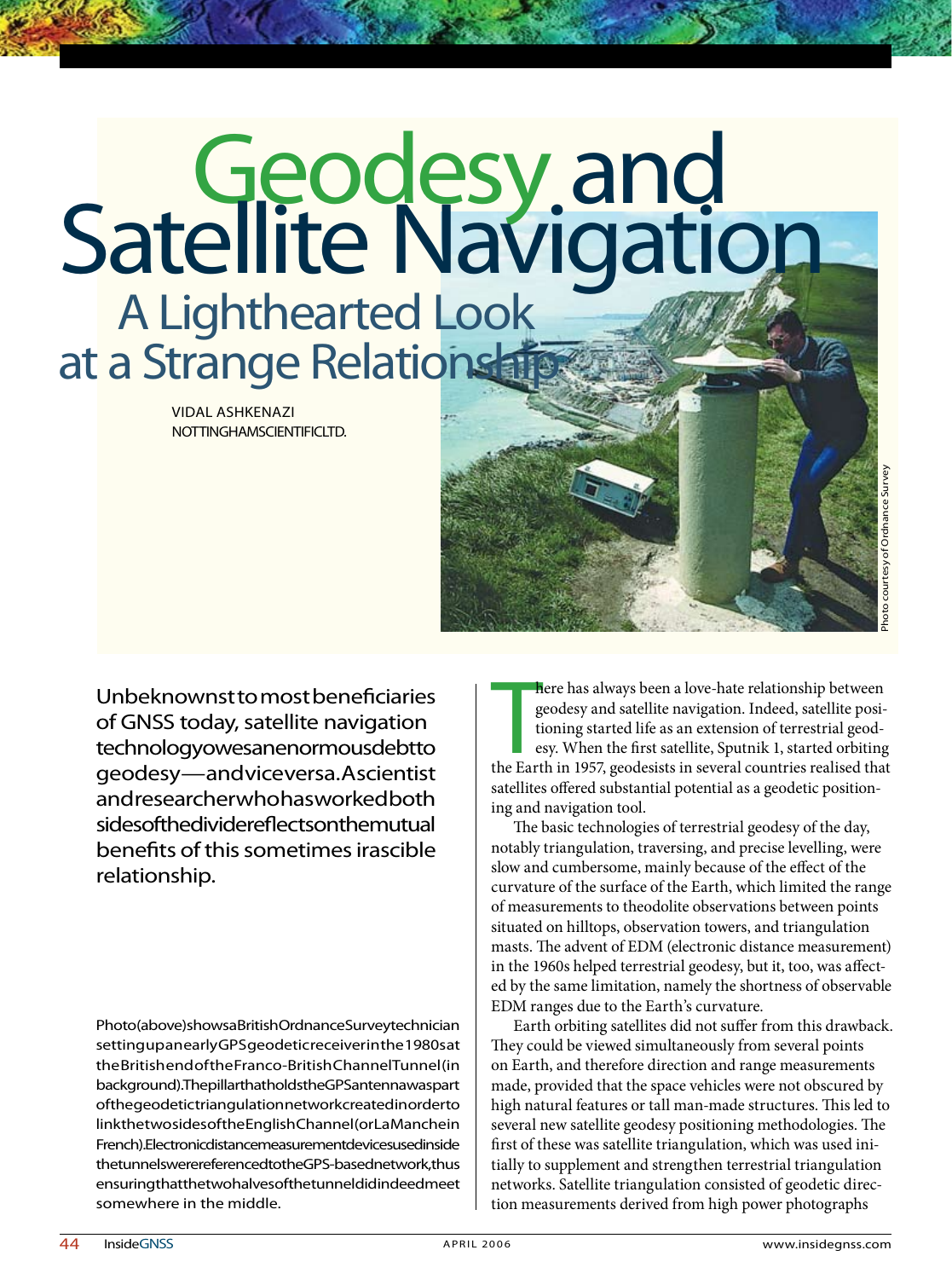# **Geodesy and<br>Satellite Navigation**  A Lighthearted Look at a Strange Relationship

Vidal Ashkenazi NOTTINGHAM SCIENTIFICLTD.

Unbeknownst to most beneficiaries of GNSS today, satellite navigation technology owes an enormous debt to geodesy — and vice versa. A scientist and researcher who has worked both sides of the divider effects on the mutual benefits of this sometimes irascible relationship.

Photo(above) shows a British Ordnance Survey technician setting up an early GPS geodetic receiver in the 1980s at the British end of the Franco-British Channel Tunnel (in background). The pillar that holds the GPS antenna was part of the geodetic triangulation network created in order to link the two sides of the English Channel (or La Manchein French). Electronic distance measurement devices used inside the tunnels we rereferenced to the GPS-based network, thus ensuring that the two halves of the tunnel did indeed meet somewhere in the middle.

Photo courtesy of Ordnance Survey

here has always been a love-hate relationship between geodesy and satellite navigation. Indeed, satellite positioning started life as an extension of terrestrial geodesy. When the first satellite, Sputnik 1, started orbiti here has always been a love-hate relationship between geodesy and satellite navigation. Indeed, satellite positioning started life as an extension of terrestrial geodesy. When the first satellite, Sputnik 1, started orbiting satellites offered substantial potential as a geodetic positioning and navigation tool.

The basic technologies of terrestrial geodesy of the day, notably triangulation, traversing, and precise levelling, were slow and cumbersome, mainly because of the effect of the curvature of the surface of the Earth, which limited the range of measurements to theodolite observations between points situated on hilltops, observation towers, and triangulation masts. The advent of EDM (electronic distance measurement) in the 1960s helped terrestrial geodesy, but it, too, was affected by the same limitation, namely the shortness of observable EDM ranges due to the Earth's curvature.

Earth orbiting satellites did not suffer from this drawback. They could be viewed simultaneously from several points on Earth, and therefore direction and range measurements made, provided that the space vehicles were not obscured by high natural features or tall man-made structures. This led to several new satellite geodesy positioning methodologies. The first of these was satellite triangulation, which was used initially to supplement and strengthen terrestrial triangulation networks. Satellite triangulation consisted of geodetic direction measurements derived from high power photographs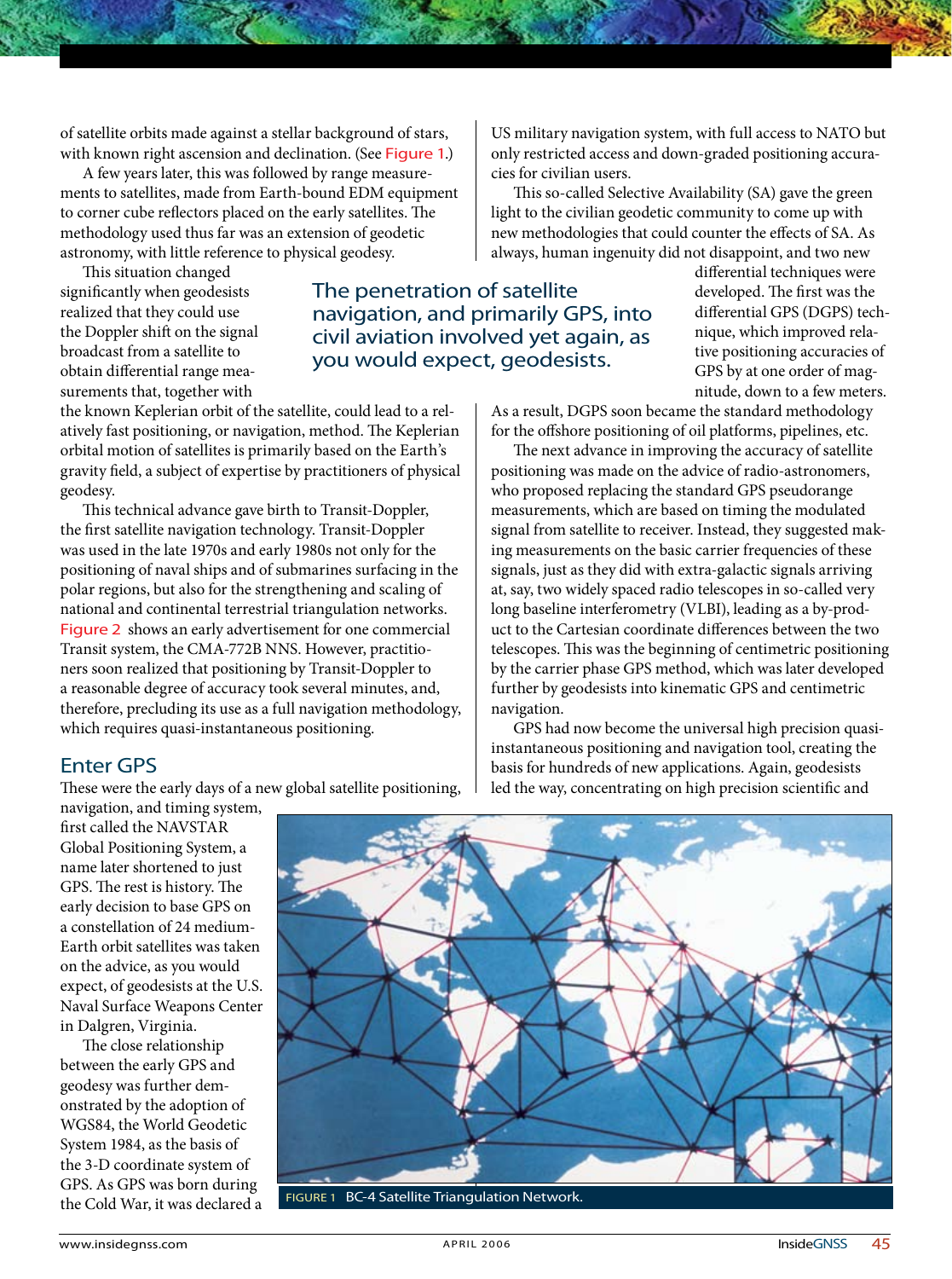of satellite orbits made against a stellar background of stars, with known right ascension and declination. (See Figure 1.)

A few years later, this was followed by range measurements to satellites, made from Earth-bound EDM equipment to corner cube reflectors placed on the early satellites. The methodology used thus far was an extension of geodetic astronomy, with little reference to physical geodesy.

This situation changed significantly when geodesists realized that they could use the Doppler shift on the signal broadcast from a satellite to obtain differential range measurements that, together with

the known Keplerian orbit of the satellite, could lead to a relatively fast positioning, or navigation, method. The Keplerian orbital motion of satellites is primarily based on the Earth's gravity field, a subject of expertise by practitioners of physical geodesy.

This technical advance gave birth to Transit-Doppler, the first satellite navigation technology. Transit-Doppler was used in the late 1970s and early 1980s not only for the positioning of naval ships and of submarines surfacing in the polar regions, but also for the strengthening and scaling of national and continental terrestrial triangulation networks. Figure 2 shows an early advertisement for one commercial Transit system, the CMA-772B NNS. However, practitioners soon realized that positioning by Transit-Doppler to a reasonable degree of accuracy took several minutes, and, therefore, precluding its use as a full navigation methodology, which requires quasi-instantaneous positioning.

### Enter GPS

These were the early days of a new global satellite positioning,

US military navigation system, with full access to NATO but only restricted access and down-graded positioning accuracies for civilian users.

This so-called Selective Availability (SA) gave the green light to the civilian geodetic community to come up with new methodologies that could counter the effects of SA. As always, human ingenuity did not disappoint, and two new

The penetration of satellite navigation, and primarily GPS, into civil aviation involved yet again, as you would expect, geodesists.

differential techniques were developed. The first was the differential GPS (DGPS) technique, which improved relative positioning accuracies of GPS by at one order of magnitude, down to a few meters.

As a result, DGPS soon became the standard methodology for the offshore positioning of oil platforms, pipelines, etc.

The next advance in improving the accuracy of satellite positioning was made on the advice of radio-astronomers, who proposed replacing the standard GPS pseudorange measurements, which are based on timing the modulated signal from satellite to receiver. Instead, they suggested making measurements on the basic carrier frequencies of these signals, just as they did with extra-galactic signals arriving at, say, two widely spaced radio telescopes in so-called very long baseline interferometry (VLBI), leading as a by-product to the Cartesian coordinate differences between the two telescopes. This was the beginning of centimetric positioning by the carrier phase GPS method, which was later developed further by geodesists into kinematic GPS and centimetric navigation.

GPS had now become the universal high precision quasiinstantaneous positioning and navigation tool, creating the basis for hundreds of new applications. Again, geodesists led the way, concentrating on high precision scientific and

navigation, and timing system, first called the NAVSTAR Global Positioning System, a name later shortened to just GPS. The rest is history. The early decision to base GPS on a constellation of 24 medium-Earth orbit satellites was taken on the advice, as you would expect, of geodesists at the U.S. Naval Surface Weapons Center in Dalgren, Virginia.

The close relationship between the early GPS and geodesy was further demonstrated by the adoption of WGS84, the World Geodetic System 1984, as the basis of the 3-D coordinate system of GPS. As GPS was born during the Cold War, it was declared a



Figure 1 BC-4 Satellite Triangulation Network.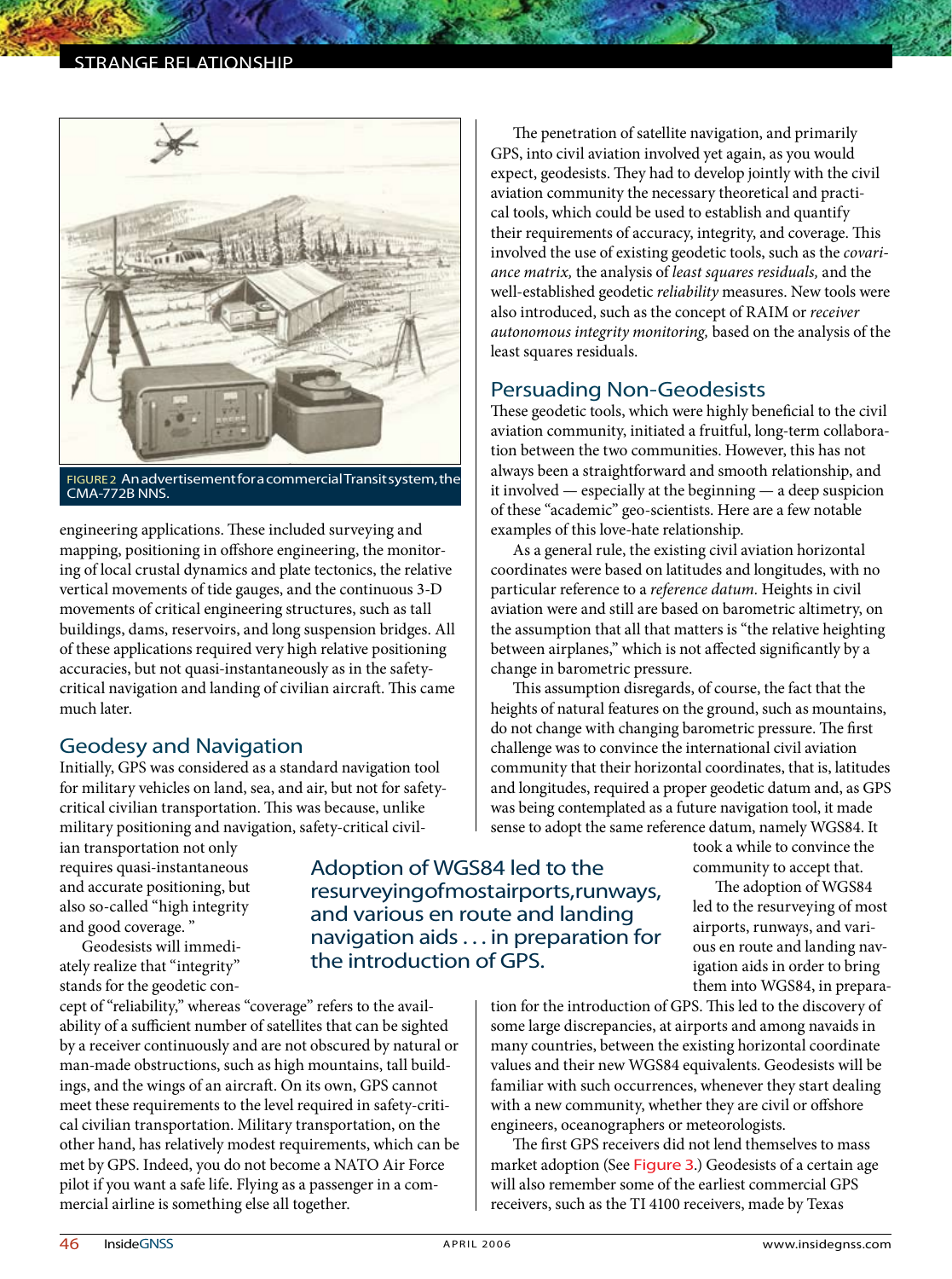### STRANGE RELATIONSHIP



Figure 2 An advertisement for a commercial Transit system, the CMA-772B NNS.

engineering applications. These included surveying and mapping, positioning in offshore engineering, the monitoring of local crustal dynamics and plate tectonics, the relative vertical movements of tide gauges, and the continuous 3-D movements of critical engineering structures, such as tall buildings, dams, reservoirs, and long suspension bridges. All of these applications required very high relative positioning accuracies, but not quasi-instantaneously as in the safetycritical navigation and landing of civilian aircraft. This came much later.

### Geodesy and Navigation

Initially, GPS was considered as a standard navigation tool for military vehicles on land, sea, and air, but not for safetycritical civilian transportation. This was because, unlike military positioning and navigation, safety-critical civil-

ian transportation not only requires quasi-instantaneous and accurate positioning, but also so-called "high integrity and good coverage. "

Geodesists will immediately realize that "integrity" stands for the geodetic con-

cept of "reliability," whereas "coverage" refers to the availability of a sufficient number of satellites that can be sighted by a receiver continuously and are not obscured by natural or man-made obstructions, such as high mountains, tall buildings, and the wings of an aircraft. On its own, GPS cannot meet these requirements to the level required in safety-critical civilian transportation. Military transportation, on the other hand, has relatively modest requirements, which can be met by GPS. Indeed, you do not become a NATO Air Force pilot if you want a safe life. Flying as a passenger in a commercial airline is something else all together.

The penetration of satellite navigation, and primarily GPS, into civil aviation involved yet again, as you would expect, geodesists. They had to develop jointly with the civil aviation community the necessary theoretical and practical tools, which could be used to establish and quantify their requirements of accuracy, integrity, and coverage. This involved the use of existing geodetic tools, such as the *covariance matrix,* the analysis of *least squares residuals,* and the well-established geodetic *reliability* measures. New tools were also introduced, such as the concept of RAIM or *receiver autonomous integrity monitoring,* based on the analysis of the least squares residuals.

### Persuading Non-Geodesists

These geodetic tools, which were highly beneficial to the civil aviation community, initiated a fruitful, long-term collaboration between the two communities. However, this has not always been a straightforward and smooth relationship, and it involved — especially at the beginning — a deep suspicion of these "academic" geo-scientists. Here are a few notable examples of this love-hate relationship.

As a general rule, the existing civil aviation horizontal coordinates were based on latitudes and longitudes, with no particular reference to a *reference datum.* Heights in civil aviation were and still are based on barometric altimetry, on the assumption that all that matters is "the relative heighting between airplanes," which is not affected significantly by a change in barometric pressure.

This assumption disregards, of course, the fact that the heights of natural features on the ground, such as mountains, do not change with changing barometric pressure. The first challenge was to convince the international civil aviation community that their horizontal coordinates, that is, latitudes and longitudes, required a proper geodetic datum and, as GPS was being contemplated as a future navigation tool, it made sense to adopt the same reference datum, namely WGS84. It

took a while to convince the community to accept that.

The adoption of WGS84 led to the resurveying of most airports, runways, and various en route and landing navigation aids in order to bring them into WGS84, in prepara-

tion for the introduction of GPS. This led to the discovery of some large discrepancies, at airports and among navaids in many countries, between the existing horizontal coordinate values and their new WGS84 equivalents. Geodesists will be familiar with such occurrences, whenever they start dealing with a new community, whether they are civil or offshore engineers, oceanographers or meteorologists.

The first GPS receivers did not lend themselves to mass market adoption (See Figure 3.) Geodesists of a certain age will also remember some of the earliest commercial GPS receivers, such as the TI 4100 receivers, made by Texas

Adoption of WGS84 led to the

the introduction of GPS.

resurveying of mostair ports, runways, and various en route and landing navigation aids . . . in preparation for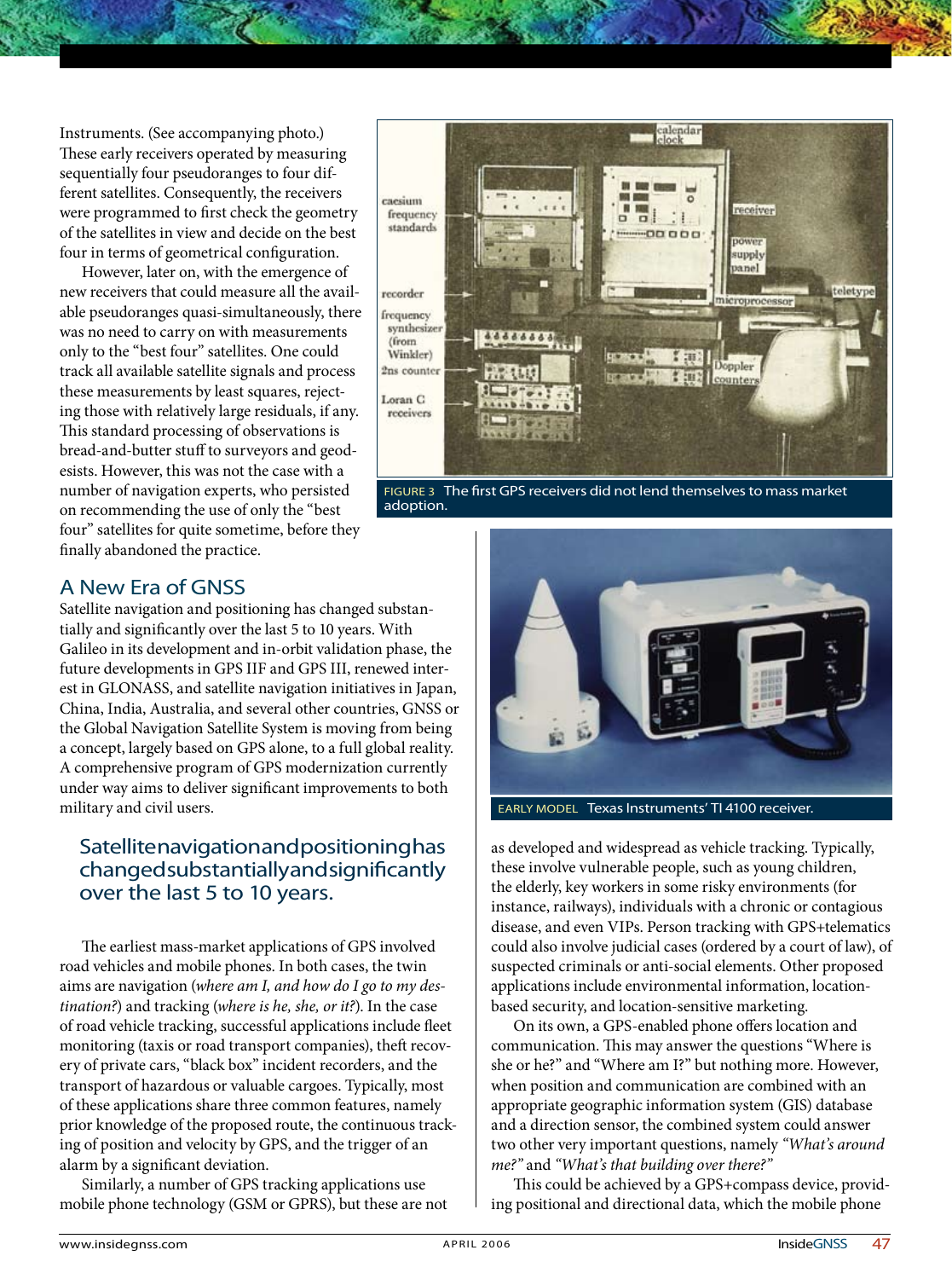Instruments. (See accompanying photo.) These early receivers operated by measuring sequentially four pseudoranges to four different satellites. Consequently, the receivers were programmed to first check the geometry of the satellites in view and decide on the best four in terms of geometrical configuration.

However, later on, with the emergence of new receivers that could measure all the available pseudoranges quasi-simultaneously, there was no need to carry on with measurements only to the "best four" satellites. One could track all available satellite signals and process these measurements by least squares, rejecting those with relatively large residuals, if any. This standard processing of observations is bread-and-butter stuff to surveyors and geodesists. However, this was not the case with a number of navigation experts, who persisted on recommending the use of only the "best four" satellites for quite sometime, before they finally abandoned the practice.



Figure 3 The first GPS receivers did not lend themselves to mass market adoption.



early model Texas Instruments' TI 4100 receiver.

as developed and widespread as vehicle tracking. Typically, these involve vulnerable people, such as young children, the elderly, key workers in some risky environments (for instance, railways), individuals with a chronic or contagious disease, and even VIPs. Person tracking with GPS+telematics could also involve judicial cases (ordered by a court of law), of suspected criminals or anti-social elements. Other proposed applications include environmental information, locationbased security, and location-sensitive marketing.

On its own, a GPS-enabled phone offers location and communication. This may answer the questions "Where is she or he?" and "Where am I?" but nothing more. However, when position and communication are combined with an appropriate geographic information system (GIS) database and a direction sensor, the combined system could answer two other very important questions, namely *"What's around me?"* and *"What's that building over there?"*

This could be achieved by a GPS+compass device, providing positional and directional data, which the mobile phone

# A New Era of GNSS

Satellite navigation and positioning has changed substantially and significantly over the last 5 to 10 years. With Galileo in its development and in-orbit validation phase, the future developments in GPS IIF and GPS III, renewed interest in GLONASS, and satellite navigation initiatives in Japan, China, India, Australia, and several other countries, GNSS or the Global Navigation Satellite System is moving from being a concept, largely based on GPS alone, to a full global reality. A comprehensive program of GPS modernization currently under way aims to deliver significant improvements to both military and civil users.

# Satellite navigation and positioning has changed substantially and significantly over the last 5 to 10 years.

The earliest mass-market applications of GPS involved road vehicles and mobile phones. In both cases, the twin aims are navigation (*where am I, and how do I go to my destination?*) and tracking (*where is he, she, or it?*). In the case of road vehicle tracking, successful applications include fleet monitoring (taxis or road transport companies), theft recovery of private cars, "black box" incident recorders, and the transport of hazardous or valuable cargoes. Typically, most of these applications share three common features, namely prior knowledge of the proposed route, the continuous tracking of position and velocity by GPS, and the trigger of an alarm by a significant deviation.

Similarly, a number of GPS tracking applications use mobile phone technology (GSM or GPRS), but these are not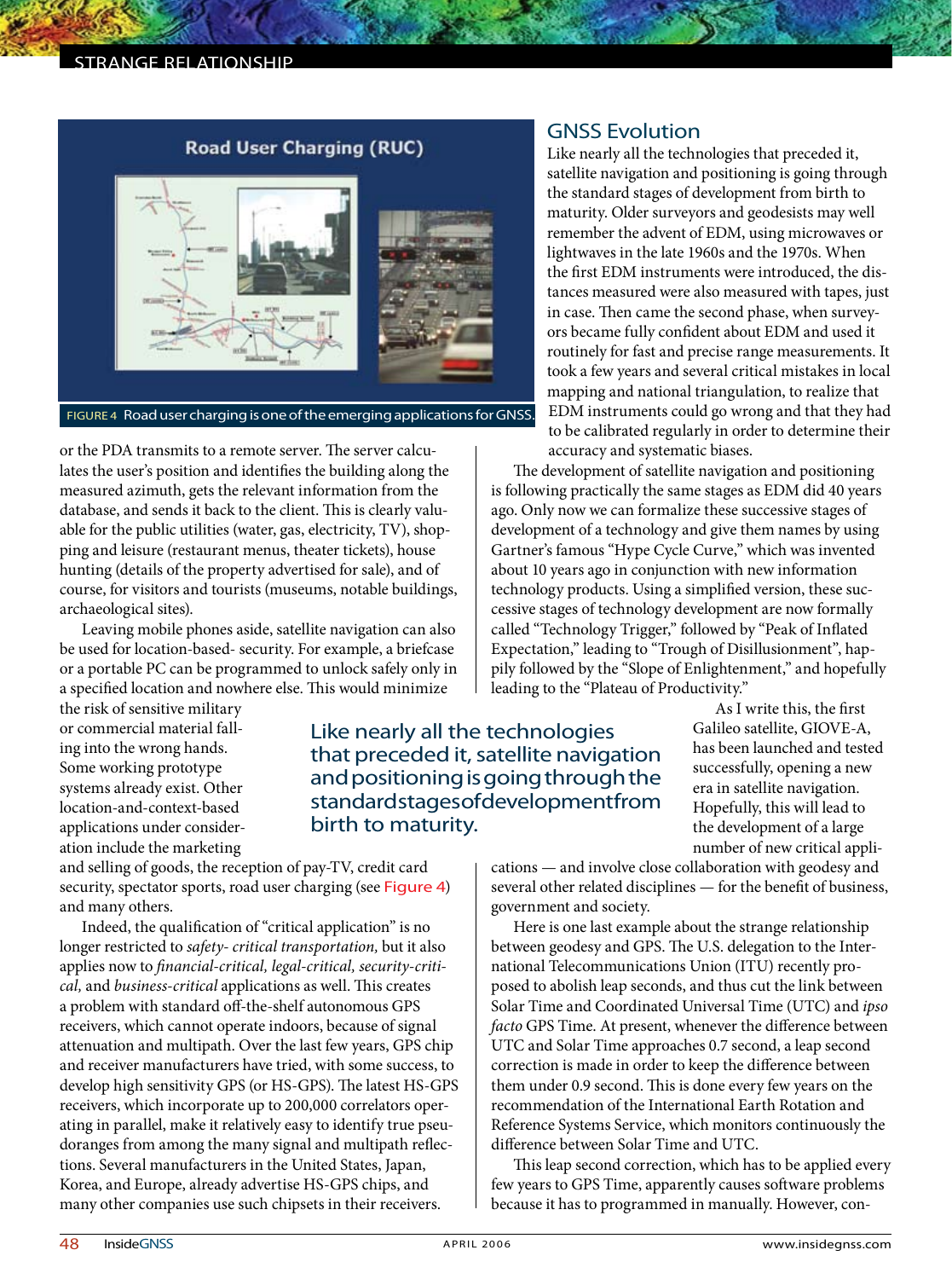### strange relationship

# **Road User Charging (RUC)**

Figure 4 Road user charging is one of the emerging applications for GNSS.

or the PDA transmits to a remote server. The server calculates the user's position and identifies the building along the measured azimuth, gets the relevant information from the database, and sends it back to the client. This is clearly valuable for the public utilities (water, gas, electricity, TV), shopping and leisure (restaurant menus, theater tickets), house hunting (details of the property advertised for sale), and of course, for visitors and tourists (museums, notable buildings, archaeological sites).

Leaving mobile phones aside, satellite navigation can also be used for location-based- security. For example, a briefcase or a portable PC can be programmed to unlock safely only in a specified location and nowhere else. This would minimize

the risk of sensitive military or commercial material falling into the wrong hands. Some working prototype systems already exist. Other location-and-context-based applications under consideration include the marketing

and selling of goods, the reception of pay-TV, credit card security, spectator sports, road user charging (see Figure 4) and many others.

Indeed, the qualification of "critical application" is no longer restricted to *safety- critical transportation,* but it also applies now to *financial-critical, legal-critical, security-critical,* and *business-critical* applications as well. This creates a problem with standard off-the-shelf autonomous GPS receivers, which cannot operate indoors, because of signal attenuation and multipath. Over the last few years, GPS chip and receiver manufacturers have tried, with some success, to develop high sensitivity GPS (or HS-GPS). The latest HS-GPS receivers, which incorporate up to 200,000 correlators operating in parallel, make it relatively easy to identify true pseudoranges from among the many signal and multipath reflections. Several manufacturers in the United States, Japan, Korea, and Europe, already advertise HS-GPS chips, and many other companies use such chipsets in their receivers.

## GNSS Evolution

Like nearly all the technologies that preceded it, satellite navigation and positioning is going through the standard stages of development from birth to maturity. Older surveyors and geodesists may well remember the advent of EDM, using microwaves or lightwaves in the late 1960s and the 1970s. When the first EDM instruments were introduced, the distances measured were also measured with tapes, just in case. Then came the second phase, when surveyors became fully confident about EDM and used it routinely for fast and precise range measurements. It took a few years and several critical mistakes in local mapping and national triangulation, to realize that EDM instruments could go wrong and that they had to be calibrated regularly in order to determine their accuracy and systematic biases.

The development of satellite navigation and positioning is following practically the same stages as EDM did 40 years ago. Only now we can formalize these successive stages of development of a technology and give them names by using Gartner's famous "Hype Cycle Curve," which was invented about 10 years ago in conjunction with new information technology products. Using a simplified version, these successive stages of technology development are now formally called "Technology Trigger," followed by "Peak of Inflated Expectation," leading to "Trough of Disillusionment", happily followed by the "Slope of Enlightenment," and hopefully leading to the "Plateau of Productivity."

Like nearly all the technologies that preceded it, satellite navigation and positioning is going through the standard stages of development from birth to maturity.

As I write this, the first Galileo satellite, GIOVE-A, has been launched and tested successfully, opening a new era in satellite navigation. Hopefully, this will lead to the development of a large number of new critical appli-

cations — and involve close collaboration with geodesy and several other related disciplines — for the benefit of business, government and society.

Here is one last example about the strange relationship between geodesy and GPS. The U.S. delegation to the International Telecommunications Union (ITU) recently proposed to abolish leap seconds, and thus cut the link between Solar Time and Coordinated Universal Time (UTC) and *ipso facto* GPS Time. At present, whenever the difference between UTC and Solar Time approaches 0.7 second, a leap second correction is made in order to keep the difference between them under 0.9 second. This is done every few years on the recommendation of the International Earth Rotation and Reference Systems Service, which monitors continuously the difference between Solar Time and UTC.

This leap second correction, which has to be applied every few years to GPS Time, apparently causes software problems because it has to programmed in manually. However, con-